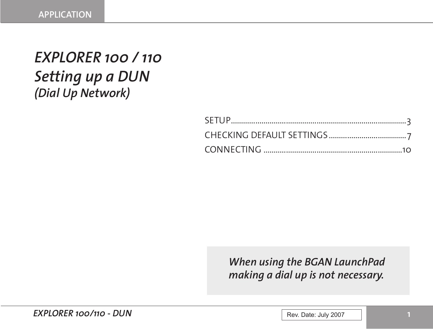# *EXPLORER 100 / 110 Setting up a DUN (Dial Up Network)*

*When using the BGAN LaunchPad making a dial up is not necessary.*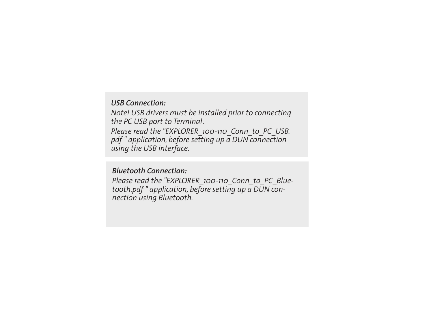#### *USB Connection:*

*Note! USB drivers must be installed prior to connecting the PC USB port to Terminal.*

*Please read the "EXPLORER\_100-110\_Conn\_to\_PC\_USB. pdf " application, before setting up a DUN connection using the USB interface.*

#### *Bluetooth Connection:*

*Please read the "EXPLORER\_100-110\_Conn\_to\_PC\_Bluetooth.pdf " application, before setting up a DUN connection using Bluetooth.*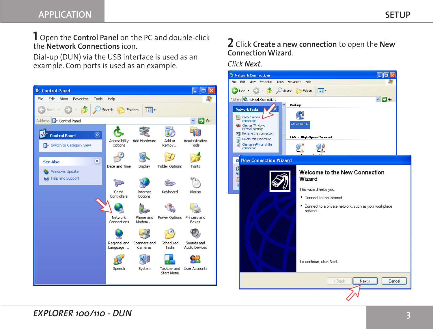**1** Open the **Control Panel** on the PC and double-click the **Network Connections** icon.

Dial-up (DUN) via the USB interface is used as an example. Com ports is used as an example.



### **2** Click **Create a new connection** to open the **New Connection Wizard**.

*Click Next*.

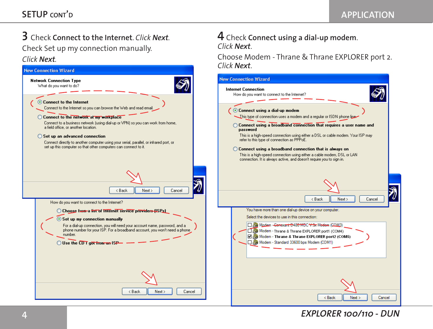### **3** Check **Connect to the Internet**. *Click Next.* Check Set up my connection manually. *Click Next.*



#### **4** Check **Connect using a dial-up modem**. *Click Next*.

Choose Modem - Thrane & Thrane EXPLORER port 2. *Click Next*.

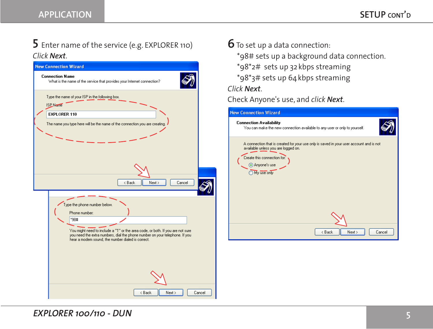### **5** Enter name of the service (e.g. EXPLORER 110) *Click Next*.



# **6**To set up <sup>a</sup> data connection:

- \*98# sets up a background data connection.
- \*98\*2# sets up 32 kbps streaming
- \*98\*3# sets up 64kbps streaming

*Click Next*.

Check Anyone's use, and *click Next*.

| <b>New Connection Wizard</b>                                                                                                                                                                 |
|----------------------------------------------------------------------------------------------------------------------------------------------------------------------------------------------|
| <b>Connection Availability</b><br>You can make the new connection available to any user or only to yourself.                                                                                 |
| A connection that is created for your use only is saved in your user account and is not<br>available unless you are logged on.<br>Create this connection for:<br>Anyone's use<br>My use only |
|                                                                                                                                                                                              |
| Next ><br>Cancel<br>< Back                                                                                                                                                                   |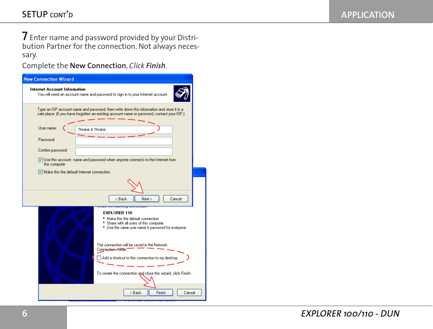**7** Enter name and password provided by your Distribution Partner for the connection. Not always necessary.

Complete the **New Connection**, *Click Finish*.

| <b>New Connection Wizard</b>                                                                                                                                                                           |
|--------------------------------------------------------------------------------------------------------------------------------------------------------------------------------------------------------|
| Internet Account Information<br>You will need an account name and password to sign in to your Internet account.                                                                                        |
| Type an ISP account name and password, then write down this information and store it in a<br>safe place. (If you have forgotten an existing account name or password, contact your ISP.)               |
| User name:<br>Thrane & Thrane                                                                                                                                                                          |
| Password:                                                                                                                                                                                              |
| Confirm password:                                                                                                                                                                                      |
| Use this account name and password when anyone connects to the Internet from<br>this computer                                                                                                          |
| Make this the default Internet connection                                                                                                                                                              |
|                                                                                                                                                                                                        |
| < Back<br>Next ><br>Cancel                                                                                                                                                                             |
| <mark>cate the referring connection</mark><br><b>EXPLORER 110</b><br>* Make this the default connection<br>* Share with all users of this computer<br>* Use the same user name & password for everyone |
| The connection will be saved in the Network.<br>Connections folder."<br>Add a shortcut to this connection to my desktop<br>To create the connection and close this wizard, click Finish.               |
| < Back<br>Finish<br>Cancel                                                                                                                                                                             |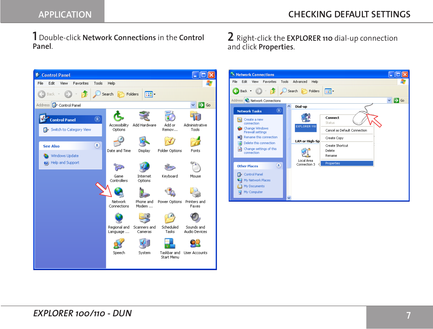**1** Double-click **Network Connections** in the **Control Panel**.

**2** Right-click the **EXPLORER 110** dial-up connection and click **Properties**.



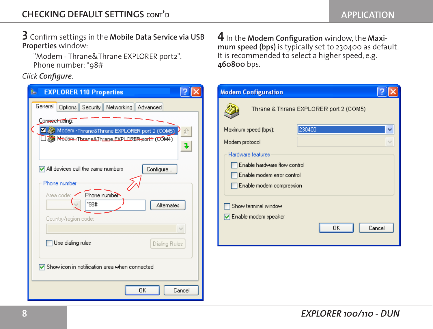**3** Confirm settings in the **Mobile Data Service via USB Properties** window:

"Modem - Thrane&Thrane EXPLORER port2". Phone number:\*98#

#### *Click Configure*.

| General<br>Options<br>Security Networking Advanced                                                                |
|-------------------------------------------------------------------------------------------------------------------|
| Connect using:<br>Modem - Thrane&Thrane EXPLORER port 2 (COM5)<br>ÉÈ<br>Modem-Thrane&Thrane EXPLORER-port1 (COM4) |
| $\triangledown$ All devices call the same numbers<br>Configure<br>Phone number                                    |
| Phone number.<br>Area code:<br>*98#<br>Alternates<br>Country/region code:                                         |
| Use dialing rules<br>Dialing Rules                                                                                |
| Show icon in notification area when connected<br>ΟK<br>Cancel                                                     |

 $\boldsymbol{4}$  In the **Modem Configuration** window, the **Maximum speed (bps)** is typically set to 230400 as default. It is recommended to select a higher speed, e.g. **460800** bps.

| <b>Modem Configuration</b>           |                                        |
|--------------------------------------|----------------------------------------|
|                                      | Thrane & Thrane EXPLORER port 2 (COM5) |
| Maximum speed (bps):                 | 230400                                 |
| Modem protocol                       |                                        |
| Hardware features                    |                                        |
| Enable hardware flow control         |                                        |
| Enable modem error control           |                                        |
| Enable modem compression             |                                        |
| Show terminal window                 |                                        |
| $\triangledown$ Enable modem speaker |                                        |
|                                      | OK<br>Cancel                           |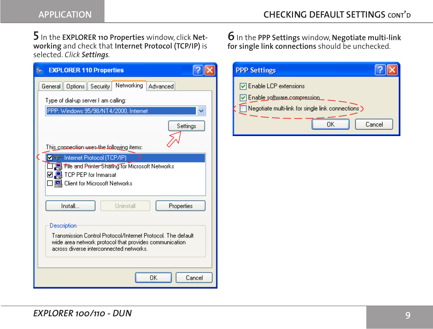**5** In the **EXPLORER 110 Properties** window, click **Networking** and check that **Internet Protocol (TCP/IP)** is selected. *Click Settings.*

| <b>EXPLORER 110 Properties</b><br>ь                                                                                                                               |  |  |
|-------------------------------------------------------------------------------------------------------------------------------------------------------------------|--|--|
| Networking<br>Options<br>General   <br>Security<br>Advanced                                                                                                       |  |  |
| Type of dial-up server I am calling:                                                                                                                              |  |  |
| PPP: Windows 95/98/NT4/2000, Internet                                                                                                                             |  |  |
| Settings<br>This connection <del>uses the foll</del> owing items:                                                                                                 |  |  |
| ⊠ हन Internet Protocol (TCP/IP)                                                                                                                                   |  |  |
| File and Printer Sharing for Microsoft Networks<br>☑ 및 TCP PEP for Inmarsat<br>□□ Client for Microsoft Networks                                                   |  |  |
| Install<br>Hninstall<br>Properties                                                                                                                                |  |  |
| Description                                                                                                                                                       |  |  |
| Transmission Control Protocol/Internet Protocol. The default<br>wide area network protocol that provides communication<br>across diverse interconnected networks. |  |  |
| OK<br>Cancel                                                                                                                                                      |  |  |

**6**In the **PPP Settings** window, **Negotiate multi-link for single link connections** should be unchecked.

| <b>PPP Settings</b>                                                                                                            |
|--------------------------------------------------------------------------------------------------------------------------------|
| □ Enable LCP extensions<br>□ Enable software.compression<br>Negotiate multi-link for single link connections ><br>Cancel<br>ΠK |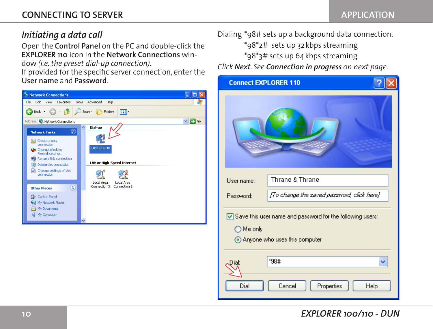## *Initiating a data call*

Open the **Control Panel** on the PC and double-click the **EXPLORER 110** icon in the **Network Connections** win-

dow *(i.e. the preset dial-up connection)*.

If provided for the specific server connection, enter the **User name** and **Password**.



Dialing \*98# sets up a background data connection. \*98\*2# sets up 32 kbps streaming \*98\*3# sets up 64kbps streaming

*Click Next*. *See Connection in progress on next page.*

| <b>Connect EXPLORER 110</b> |                                                                                                            |
|-----------------------------|------------------------------------------------------------------------------------------------------------|
|                             |                                                                                                            |
| User name:                  | Thrane & Thrane                                                                                            |
| Password:                   | [To change the saved password, click here]                                                                 |
| ◯ Me only                   | $\triangledown$ Save this user name and password for the following users:<br>Anyone who uses this computer |
| Dial:                       | *98#                                                                                                       |
| Dial                        | Cancel<br>Properties<br>Help                                                                               |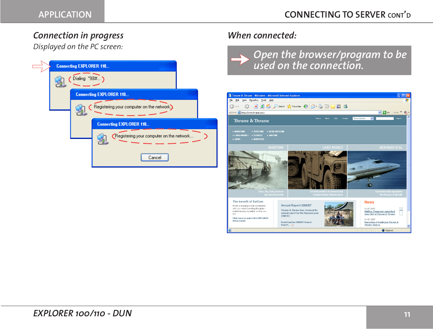### *Connection in progress*

*Displayed on the PC screen:*

| <b>Connecting EXPLORER 110</b> |                                           |  |
|--------------------------------|-------------------------------------------|--|
| Dialing *98# )                 |                                           |  |
|                                | <b>Connecting EXPLORER 110</b>            |  |
|                                | Registering your computer on the network. |  |
|                                | <b>Connecting EXPLORER 110</b>            |  |
|                                | Registering your computer on the network  |  |
|                                | Cancel                                    |  |

# *When connected:*